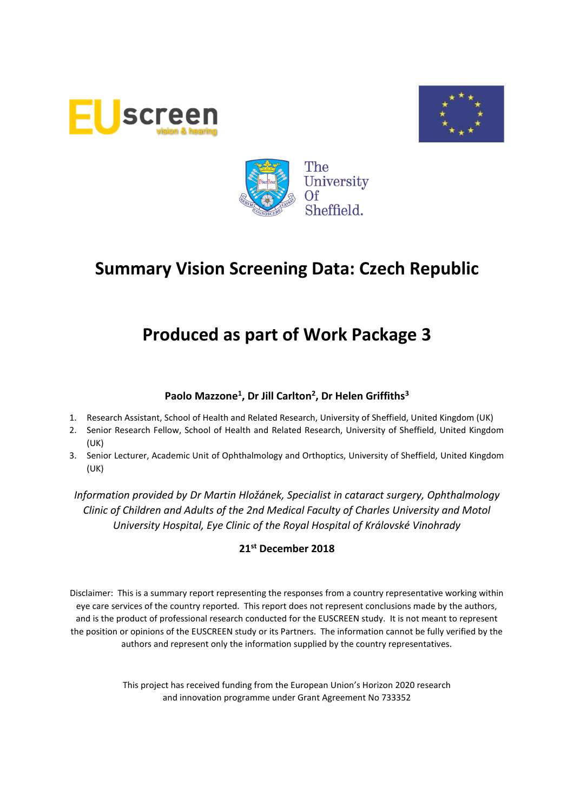





# **Produced as part of Work Package 3**

# **Paolo Mazzone<sup>1</sup> , Dr Jill Carlton<sup>2</sup> , Dr Helen Griffiths<sup>3</sup>**

- 1. Research Assistant, School of Health and Related Research, University of Sheffield, United Kingdom (UK)
- 2. Senior Research Fellow, School of Health and Related Research, University of Sheffield, United Kingdom (UK)
- 3. Senior Lecturer, Academic Unit of Ophthalmology and Orthoptics, University of Sheffield, United Kingdom (UK)

*Information provided by Dr Martin Hložánek, Specialist in cataract surgery, Ophthalmology Clinic of Children and Adults of the 2nd Medical Faculty of Charles University and Motol University Hospital, Eye Clinic of the Royal Hospital of Královské Vinohrady*

# **21st December 2018**

Disclaimer: This is a summary report representing the responses from a country representative working within eye care services of the country reported. This report does not represent conclusions made by the authors, and is the product of professional research conducted for the EUSCREEN study. It is not meant to represent the position or opinions of the EUSCREEN study or its Partners. The information cannot be fully verified by the authors and represent only the information supplied by the country representatives.

> This project has received funding from the European Union's Horizon 2020 research and innovation programme under Grant Agreement No 733352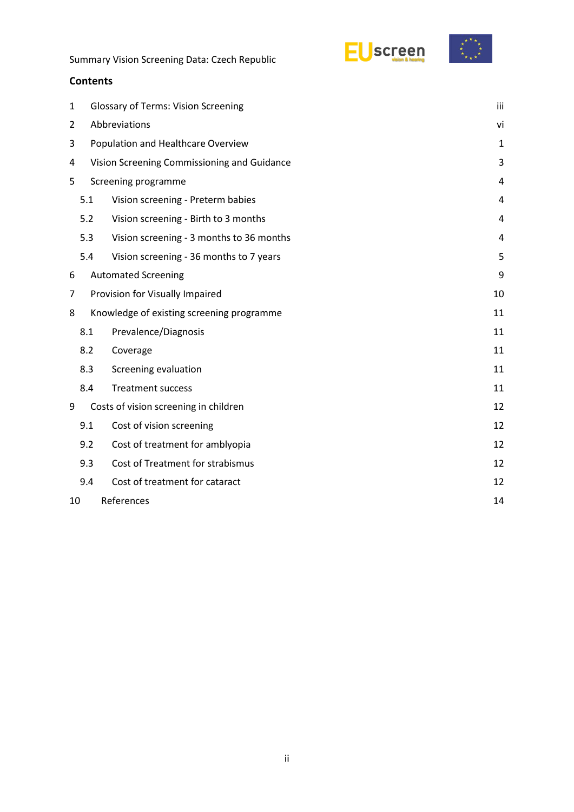



### **Contents**

| 1  |                                             | iii<br><b>Glossary of Terms: Vision Screening</b> |                |  |  |  |
|----|---------------------------------------------|---------------------------------------------------|----------------|--|--|--|
| 2  | Abbreviations<br>vi                         |                                                   |                |  |  |  |
| 3  | Population and Healthcare Overview          |                                                   |                |  |  |  |
| 4  | Vision Screening Commissioning and Guidance |                                                   |                |  |  |  |
| 5  |                                             | Screening programme                               | 4              |  |  |  |
|    | 5.1                                         | Vision screening - Preterm babies                 | 4              |  |  |  |
|    | 5.2                                         | Vision screening - Birth to 3 months              | 4              |  |  |  |
|    | 5.3                                         | Vision screening - 3 months to 36 months          | $\overline{4}$ |  |  |  |
|    | 5.4                                         | Vision screening - 36 months to 7 years           | 5              |  |  |  |
| 6  |                                             | <b>Automated Screening</b>                        | 9              |  |  |  |
| 7  |                                             | Provision for Visually Impaired                   | 10             |  |  |  |
| 8  |                                             | Knowledge of existing screening programme         |                |  |  |  |
|    | 8.1                                         | Prevalence/Diagnosis                              | 11             |  |  |  |
|    | 8.2                                         | Coverage                                          | 11             |  |  |  |
|    | 8.3                                         | Screening evaluation                              | 11             |  |  |  |
|    | 8.4                                         | <b>Treatment success</b>                          | 11             |  |  |  |
| 9  |                                             | Costs of vision screening in children             | 12             |  |  |  |
|    | 9.1                                         | Cost of vision screening                          | 12             |  |  |  |
|    | 9.2                                         | Cost of treatment for amblyopia                   | 12             |  |  |  |
|    | 9.3                                         | Cost of Treatment for strabismus                  | 12             |  |  |  |
|    | 9.4                                         | Cost of treatment for cataract                    | 12             |  |  |  |
| 10 | References<br>14                            |                                                   |                |  |  |  |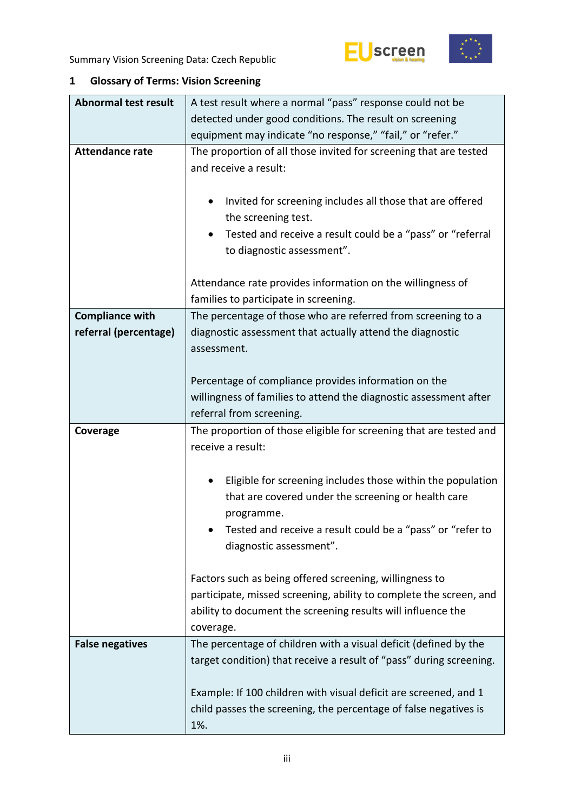



# <span id="page-2-0"></span>**1 Glossary of Terms: Vision Screening**

| <b>Abnormal test result</b> | A test result where a normal "pass" response could not be                                                                                               |  |  |  |  |
|-----------------------------|---------------------------------------------------------------------------------------------------------------------------------------------------------|--|--|--|--|
|                             | detected under good conditions. The result on screening                                                                                                 |  |  |  |  |
|                             | equipment may indicate "no response," "fail," or "refer."                                                                                               |  |  |  |  |
| <b>Attendance rate</b>      | The proportion of all those invited for screening that are tested<br>and receive a result:<br>Invited for screening includes all those that are offered |  |  |  |  |
|                             | the screening test.                                                                                                                                     |  |  |  |  |
|                             | Tested and receive a result could be a "pass" or "referral<br>to diagnostic assessment".                                                                |  |  |  |  |
|                             | Attendance rate provides information on the willingness of<br>families to participate in screening.                                                     |  |  |  |  |
| <b>Compliance with</b>      | The percentage of those who are referred from screening to a                                                                                            |  |  |  |  |
| referral (percentage)       | diagnostic assessment that actually attend the diagnostic<br>assessment.                                                                                |  |  |  |  |
|                             | Percentage of compliance provides information on the                                                                                                    |  |  |  |  |
|                             | willingness of families to attend the diagnostic assessment after                                                                                       |  |  |  |  |
|                             | referral from screening.                                                                                                                                |  |  |  |  |
| Coverage                    | The proportion of those eligible for screening that are tested and<br>receive a result:                                                                 |  |  |  |  |
|                             | Eligible for screening includes those within the population                                                                                             |  |  |  |  |
|                             | that are covered under the screening or health care<br>programme.                                                                                       |  |  |  |  |
|                             | Tested and receive a result could be a "pass" or "refer to<br>diagnostic assessment".                                                                   |  |  |  |  |
|                             | Factors such as being offered screening, willingness to                                                                                                 |  |  |  |  |
|                             | participate, missed screening, ability to complete the screen, and                                                                                      |  |  |  |  |
|                             | ability to document the screening results will influence the<br>coverage.                                                                               |  |  |  |  |
| <b>False negatives</b>      | The percentage of children with a visual deficit (defined by the<br>target condition) that receive a result of "pass" during screening.                 |  |  |  |  |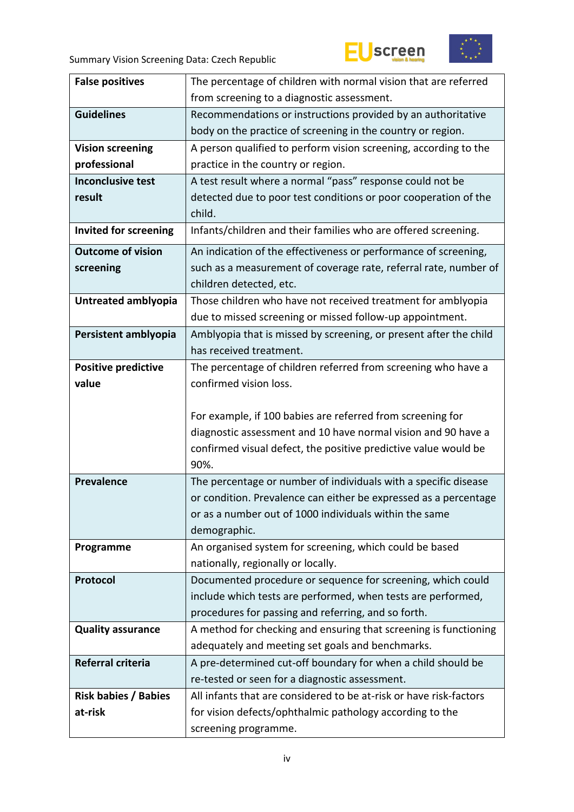



| <b>False positives</b>       | The percentage of children with normal vision that are referred                  |  |  |  |
|------------------------------|----------------------------------------------------------------------------------|--|--|--|
|                              | from screening to a diagnostic assessment.                                       |  |  |  |
| <b>Guidelines</b>            | Recommendations or instructions provided by an authoritative                     |  |  |  |
|                              | body on the practice of screening in the country or region.                      |  |  |  |
| <b>Vision screening</b>      | A person qualified to perform vision screening, according to the                 |  |  |  |
| professional                 | practice in the country or region.                                               |  |  |  |
| <b>Inconclusive test</b>     | A test result where a normal "pass" response could not be                        |  |  |  |
| result                       | detected due to poor test conditions or poor cooperation of the                  |  |  |  |
|                              | child.                                                                           |  |  |  |
| <b>Invited for screening</b> | Infants/children and their families who are offered screening.                   |  |  |  |
| <b>Outcome of vision</b>     | An indication of the effectiveness or performance of screening,                  |  |  |  |
| screening                    | such as a measurement of coverage rate, referral rate, number of                 |  |  |  |
|                              | children detected, etc.                                                          |  |  |  |
| Untreated amblyopia          | Those children who have not received treatment for amblyopia                     |  |  |  |
|                              | due to missed screening or missed follow-up appointment.                         |  |  |  |
| Persistent amblyopia         | Amblyopia that is missed by screening, or present after the child                |  |  |  |
|                              | has received treatment.                                                          |  |  |  |
| <b>Positive predictive</b>   | The percentage of children referred from screening who have a                    |  |  |  |
| value                        | confirmed vision loss.                                                           |  |  |  |
|                              |                                                                                  |  |  |  |
|                              | For example, if 100 babies are referred from screening for                       |  |  |  |
|                              | diagnostic assessment and 10 have normal vision and 90 have a                    |  |  |  |
|                              | confirmed visual defect, the positive predictive value would be                  |  |  |  |
|                              | 90%.                                                                             |  |  |  |
| <b>Prevalence</b>            | The percentage or number of individuals with a specific disease                  |  |  |  |
|                              | or condition. Prevalence can either be expressed as a percentage                 |  |  |  |
|                              | or as a number out of 1000 individuals within the same                           |  |  |  |
|                              | demographic.                                                                     |  |  |  |
| Programme                    | An organised system for screening, which could be based                          |  |  |  |
|                              | nationally, regionally or locally.                                               |  |  |  |
| Protocol                     | Documented procedure or sequence for screening, which could                      |  |  |  |
|                              | include which tests are performed, when tests are performed,                     |  |  |  |
|                              | procedures for passing and referring, and so forth.                              |  |  |  |
| <b>Quality assurance</b>     | A method for checking and ensuring that screening is functioning                 |  |  |  |
|                              | adequately and meeting set goals and benchmarks.                                 |  |  |  |
| Referral criteria            | A pre-determined cut-off boundary for when a child should be                     |  |  |  |
|                              |                                                                                  |  |  |  |
|                              | re-tested or seen for a diagnostic assessment.                                   |  |  |  |
| <b>Risk babies / Babies</b>  | All infants that are considered to be at-risk or have risk-factors               |  |  |  |
| at-risk                      | for vision defects/ophthalmic pathology according to the<br>screening programme. |  |  |  |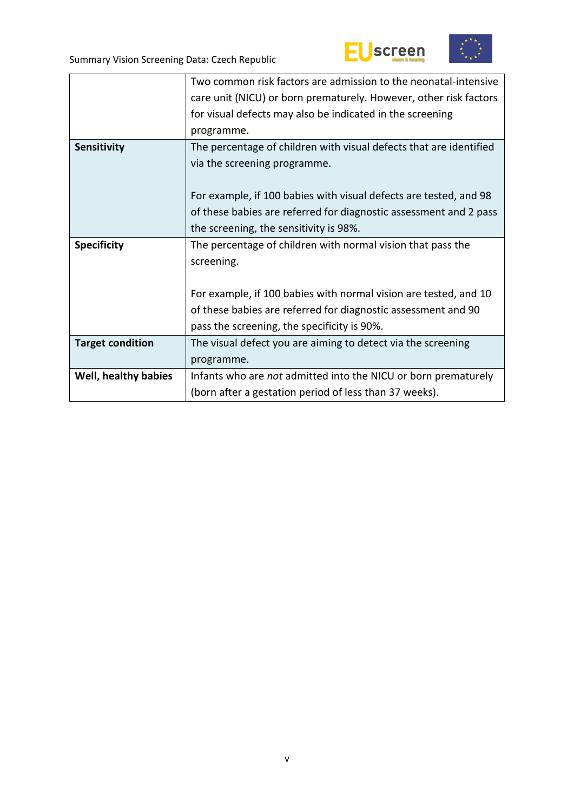



|                         | Two common risk factors are admission to the neonatal-intensive    |  |  |  |
|-------------------------|--------------------------------------------------------------------|--|--|--|
|                         | care unit (NICU) or born prematurely. However, other risk factors  |  |  |  |
|                         | for visual defects may also be indicated in the screening          |  |  |  |
|                         | programme.                                                         |  |  |  |
| <b>Sensitivity</b>      | The percentage of children with visual defects that are identified |  |  |  |
|                         | via the screening programme.                                       |  |  |  |
|                         |                                                                    |  |  |  |
|                         | For example, if 100 babies with visual defects are tested, and 98  |  |  |  |
|                         | of these babies are referred for diagnostic assessment and 2 pass  |  |  |  |
|                         | the screening, the sensitivity is 98%.                             |  |  |  |
| <b>Specificity</b>      | The percentage of children with normal vision that pass the        |  |  |  |
|                         | screening.                                                         |  |  |  |
|                         |                                                                    |  |  |  |
|                         | For example, if 100 babies with normal vision are tested, and 10   |  |  |  |
|                         | of these babies are referred for diagnostic assessment and 90      |  |  |  |
|                         | pass the screening, the specificity is 90%.                        |  |  |  |
| <b>Target condition</b> | The visual defect you are aiming to detect via the screening       |  |  |  |
|                         | programme.                                                         |  |  |  |
|                         |                                                                    |  |  |  |
| Well, healthy babies    | Infants who are not admitted into the NICU or born prematurely     |  |  |  |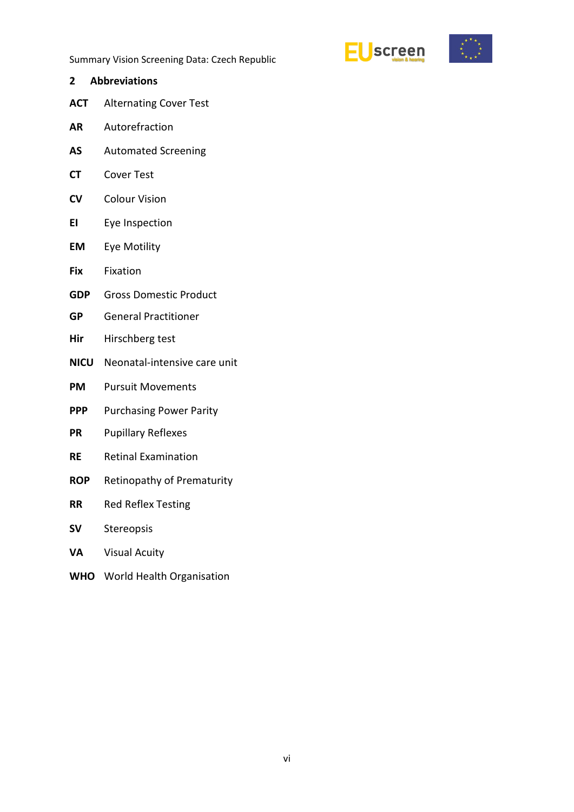



<span id="page-5-0"></span>**2 Abbreviations ACT** Alternating Cover Test **AR** Autorefraction **AS** Automated Screening **CT** Cover Test **CV** Colour Vision **EI** Eye Inspection **EM** Eye Motility **Fix** Fixation **GDP** Gross Domestic Product **GP** General Practitioner **Hir** Hirschberg test **NICU** Neonatal-intensive care unit **PM** Pursuit Movements **PPP** Purchasing Power Parity **PR** Pupillary Reflexes **RE** Retinal Examination **ROP** Retinopathy of Prematurity **RR** Red Reflex Testing **SV** Stereopsis **VA** Visual Acuity **WHO** World Health Organisation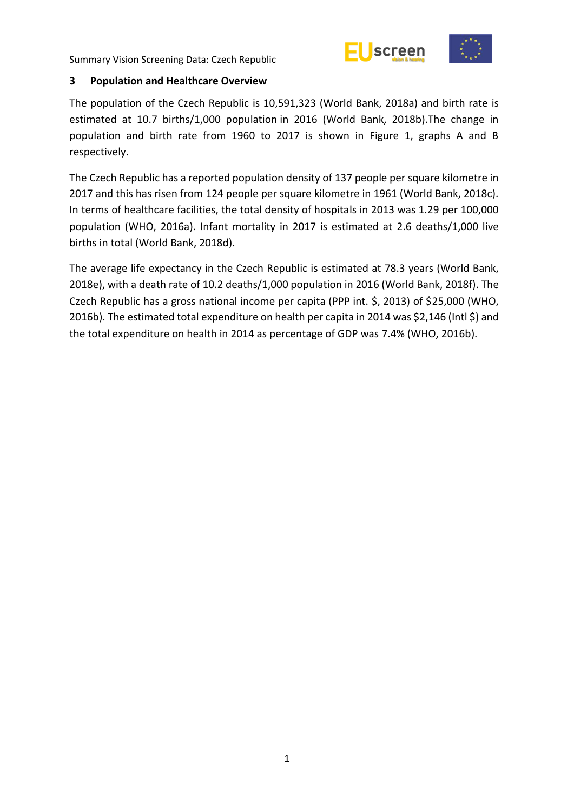



#### <span id="page-6-0"></span>**3 Population and Healthcare Overview**

The population of the Czech Republic is 10,591,323 (World Bank, 2018a) and birth rate is estimated at 10.7 births/1,000 population in 2016 (World Bank, 2018b).The change in population and birth rate from 1960 to 2017 is shown in Figure 1, graphs A and B respectively.

The Czech Republic has a reported population density of 137 people per square kilometre in 2017 and this has risen from 124 people per square kilometre in 1961 (World Bank, 2018c). In terms of healthcare facilities, the total density of hospitals in 2013 was 1.29 per 100,000 population (WHO, 2016a). Infant mortality in 2017 is estimated at 2.6 deaths/1,000 live births in total (World Bank, 2018d).

The average life expectancy in the Czech Republic is estimated at 78.3 years (World Bank, 2018e), with a death rate of 10.2 deaths/1,000 population in 2016 (World Bank, 2018f). The Czech Republic has a gross national income per capita (PPP int. \$, 2013) of \$25,000 (WHO, 2016b). The estimated total expenditure on health per capita in 2014 was \$2,146 (Intl \$) and the total expenditure on health in 2014 as percentage of GDP was 7.4% (WHO, 2016b).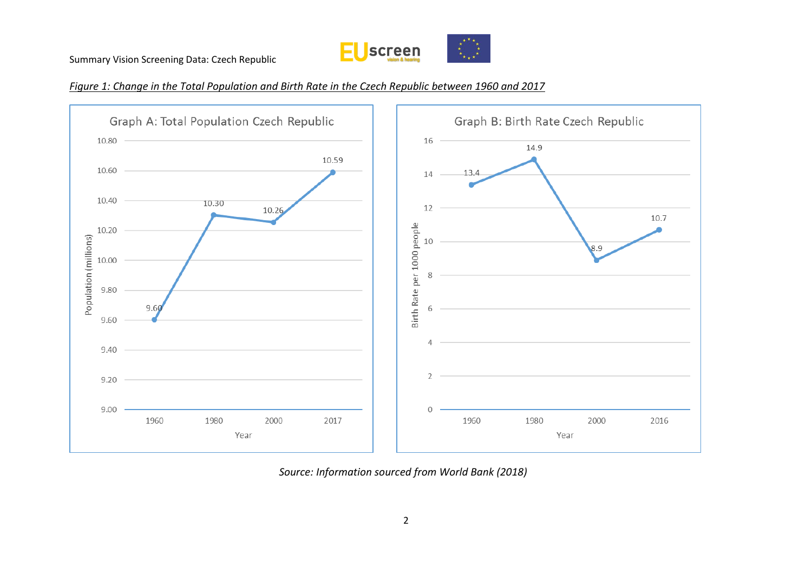

## *Figure 1: Change in the Total Population and Birth Rate in the Czech Republic between 1960 and 2017*



*Source: Information sourced from World Bank (2018)*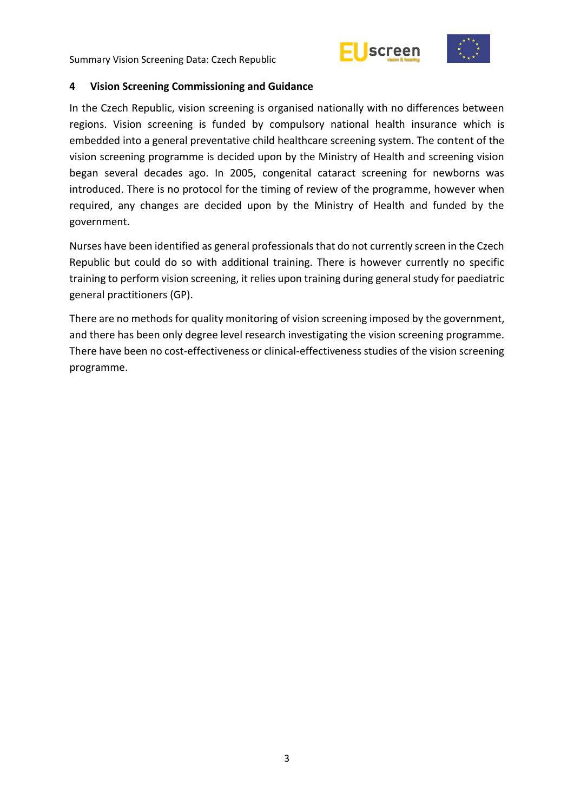



#### <span id="page-8-0"></span>**4 Vision Screening Commissioning and Guidance**

In the Czech Republic, vision screening is organised nationally with no differences between regions. Vision screening is funded by compulsory national health insurance which is embedded into a general preventative child healthcare screening system. The content of the vision screening programme is decided upon by the Ministry of Health and screening vision began several decades ago. In 2005, congenital cataract screening for newborns was introduced. There is no protocol for the timing of review of the programme, however when required, any changes are decided upon by the Ministry of Health and funded by the government.

Nurses have been identified as general professionals that do not currently screen in the Czech Republic but could do so with additional training. There is however currently no specific training to perform vision screening, it relies upon training during general study for paediatric general practitioners (GP).

There are no methods for quality monitoring of vision screening imposed by the government, and there has been only degree level research investigating the vision screening programme. There have been no cost-effectiveness or clinical-effectiveness studies of the vision screening programme.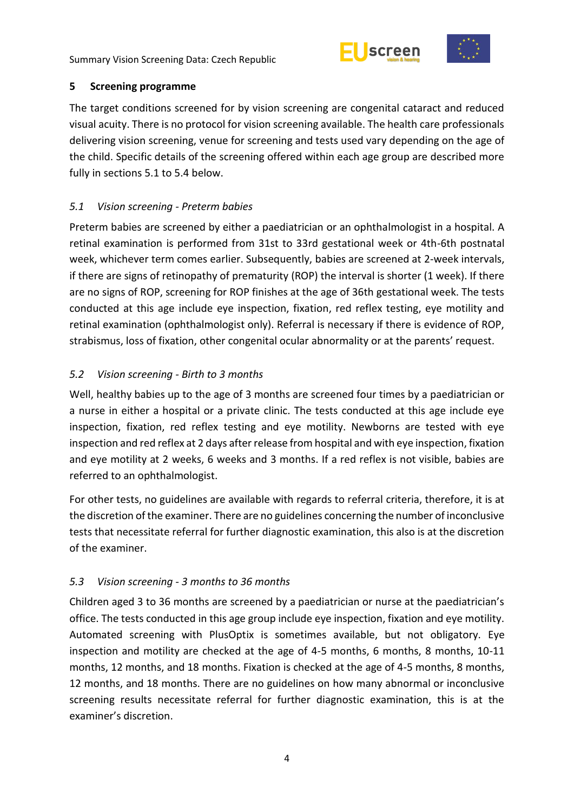



### <span id="page-9-0"></span>**5 Screening programme**

The target conditions screened for by vision screening are congenital cataract and reduced visual acuity. There is no protocol for vision screening available. The health care professionals delivering vision screening, venue for screening and tests used vary depending on the age of the child. Specific details of the screening offered within each age group are described more fully in sections 5.1 to 5.4 below.

# <span id="page-9-1"></span>*5.1 Vision screening - Preterm babies*

Preterm babies are screened by either a paediatrician or an ophthalmologist in a hospital. A retinal examination is performed from 31st to 33rd gestational week or 4th-6th postnatal week, whichever term comes earlier. Subsequently, babies are screened at 2-week intervals, if there are signs of retinopathy of prematurity (ROP) the interval is shorter (1 week). If there are no signs of ROP, screening for ROP finishes at the age of 36th gestational week. The tests conducted at this age include eye inspection, fixation, red reflex testing, eye motility and retinal examination (ophthalmologist only). Referral is necessary if there is evidence of ROP, strabismus, loss of fixation, other congenital ocular abnormality or at the parents' request.

# <span id="page-9-2"></span>*5.2 Vision screening - Birth to 3 months*

Well, healthy babies up to the age of 3 months are screened four times by a paediatrician or a nurse in either a hospital or a private clinic. The tests conducted at this age include eye inspection, fixation, red reflex testing and eye motility. Newborns are tested with eye inspection and red reflex at 2 days after release from hospital and with eye inspection, fixation and eye motility at 2 weeks, 6 weeks and 3 months. If a red reflex is not visible, babies are referred to an ophthalmologist.

For other tests, no guidelines are available with regards to referral criteria, therefore, it is at the discretion of the examiner. There are no guidelines concerning the number of inconclusive tests that necessitate referral for further diagnostic examination, this also is at the discretion of the examiner.

## <span id="page-9-3"></span>*5.3 Vision screening - 3 months to 36 months*

Children aged 3 to 36 months are screened by a paediatrician or nurse at the paediatrician's office. The tests conducted in this age group include eye inspection, fixation and eye motility. Automated screening with PlusOptix is sometimes available, but not obligatory. Eye inspection and motility are checked at the age of 4-5 months, 6 months, 8 months, 10-11 months, 12 months, and 18 months. Fixation is checked at the age of 4-5 months, 8 months, 12 months, and 18 months. There are no guidelines on how many abnormal or inconclusive screening results necessitate referral for further diagnostic examination, this is at the examiner's discretion.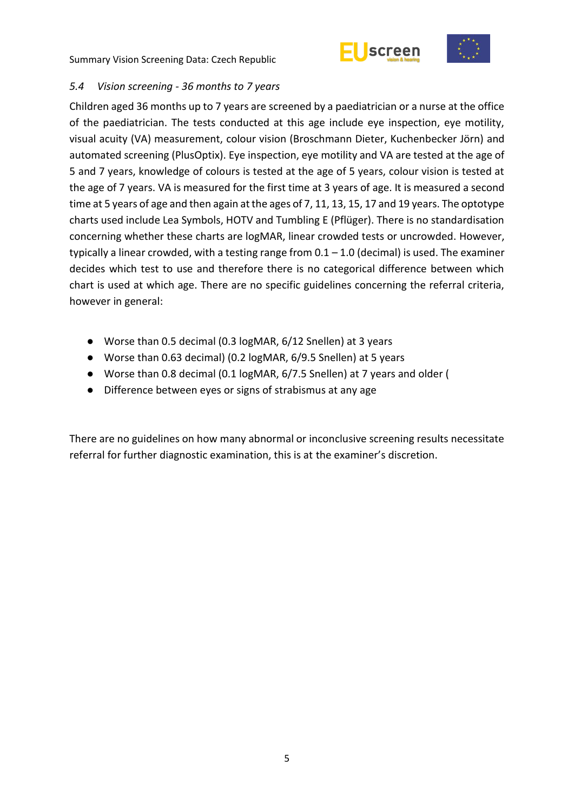



## <span id="page-10-0"></span>*5.4 Vision screening - 36 months to 7 years*

Children aged 36 months up to 7 years are screened by a paediatrician or a nurse at the office of the paediatrician. The tests conducted at this age include eye inspection, eye motility, visual acuity (VA) measurement, colour vision (Broschmann Dieter, Kuchenbecker Jörn) and automated screening (PlusOptix). Eye inspection, eye motility and VA are tested at the age of 5 and 7 years, knowledge of colours is tested at the age of 5 years, colour vision is tested at the age of 7 years. VA is measured for the first time at 3 years of age. It is measured a second time at 5 years of age and then again at the ages of 7, 11, 13, 15, 17 and 19 years. The optotype charts used include Lea Symbols, HOTV and Tumbling E (Pflüger). There is no standardisation concerning whether these charts are logMAR, linear crowded tests or uncrowded. However, typically a linear crowded, with a testing range from  $0.1 - 1.0$  (decimal) is used. The examiner decides which test to use and therefore there is no categorical difference between which chart is used at which age. There are no specific guidelines concerning the referral criteria, however in general:

- Worse than 0.5 decimal (0.3 logMAR, 6/12 Snellen) at 3 years
- Worse than 0.63 decimal) (0.2 logMAR, 6/9.5 Snellen) at 5 years
- Worse than 0.8 decimal (0.1 logMAR, 6/7.5 Snellen) at 7 years and older (
- Difference between eyes or signs of strabismus at any age

There are no guidelines on how many abnormal or inconclusive screening results necessitate referral for further diagnostic examination, this is at the examiner's discretion.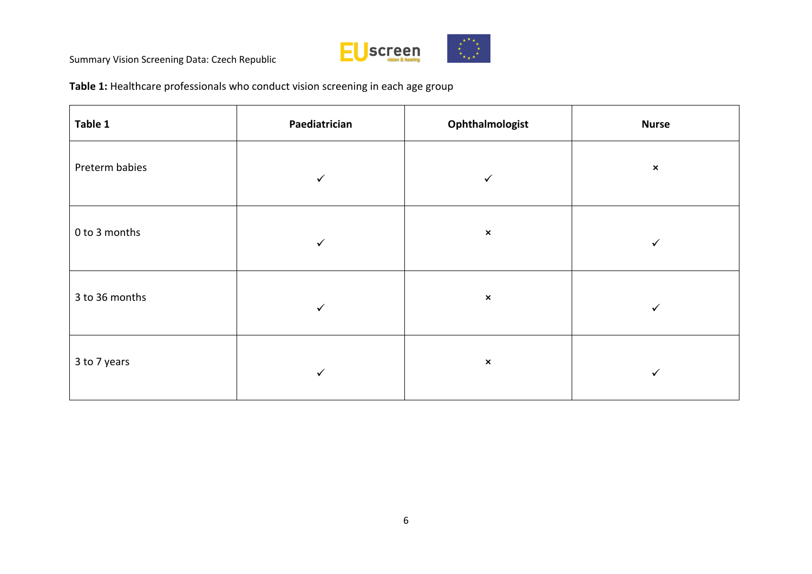

**Table 1:** Healthcare professionals who conduct vision screening in each age group

| Table 1        | Paediatrician | Ophthalmologist | <b>Nurse</b>   |
|----------------|---------------|-----------------|----------------|
| Preterm babies | $\checkmark$  | $\checkmark$    | $\pmb{\times}$ |
| 0 to 3 months  | $\checkmark$  | $\pmb{\times}$  | ✓              |
| 3 to 36 months | $\checkmark$  | $\pmb{\times}$  | ✓              |
| 3 to 7 years   | $\checkmark$  | $\pmb{\times}$  | ✓              |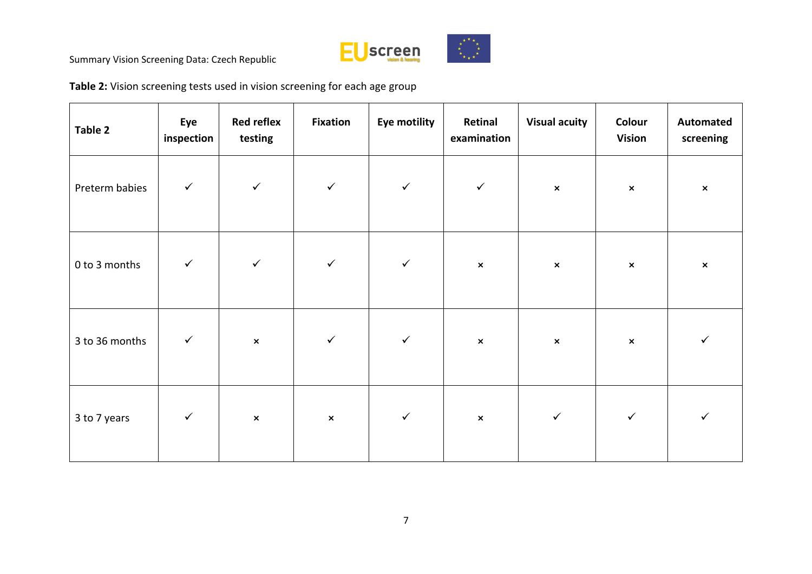

**Table 2:** Vision screening tests used in vision screening for each age group

| Table 2        | Eye<br>inspection | <b>Red reflex</b><br>testing | <b>Fixation</b> | Eye motility | Retinal<br>examination | <b>Visual acuity</b> | Colour<br><b>Vision</b> | Automated<br>screening |
|----------------|-------------------|------------------------------|-----------------|--------------|------------------------|----------------------|-------------------------|------------------------|
| Preterm babies | $\checkmark$      | $\checkmark$                 | $\checkmark$    | $\checkmark$ | $\checkmark$           | $\pmb{\times}$       | $\pmb{\times}$          | $\pmb{\times}$         |
| 0 to 3 months  | $\checkmark$      | $\checkmark$                 | $\checkmark$    | $\checkmark$ | $\pmb{\times}$         | $\pmb{\times}$       | $\pmb{\times}$          | $\pmb{\times}$         |
| 3 to 36 months | $\checkmark$      | $\pmb{\times}$               | $\checkmark$    | $\checkmark$ | $\pmb{\times}$         | $\pmb{\times}$       | $\pmb{\times}$          | $\checkmark$           |
| 3 to 7 years   | $\checkmark$      | $\pmb{\times}$               | $\pmb{\times}$  | $\checkmark$ | $\pmb{\times}$         | $\checkmark$         | $\checkmark$            | $\checkmark$           |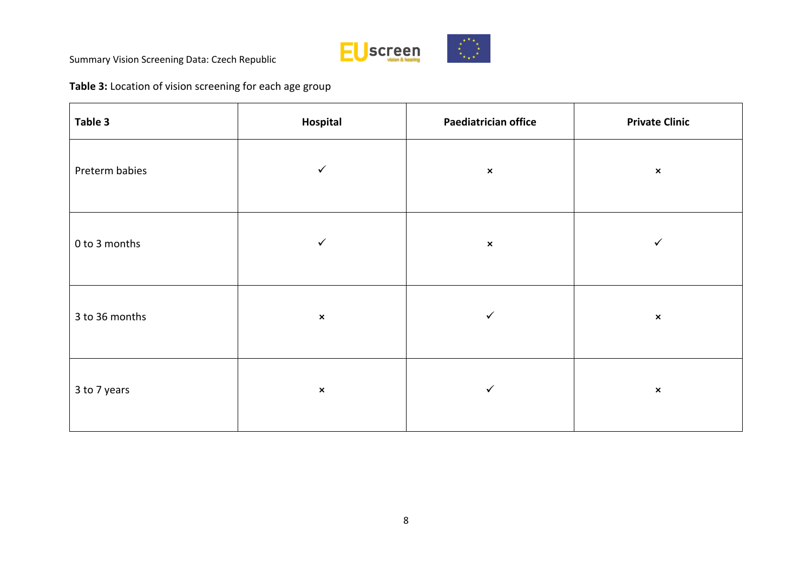

**Table 3:** Location of vision screening for each age group

| Table 3        | Hospital       | Paediatrician office | <b>Private Clinic</b> |  |
|----------------|----------------|----------------------|-----------------------|--|
| Preterm babies | $\checkmark$   | $\pmb{\times}$       | $\pmb{\times}$        |  |
| 0 to 3 months  | $\checkmark$   | $\pmb{\times}$       | ✓                     |  |
| 3 to 36 months | $\pmb{\times}$ | $\checkmark$         | $\pmb{\times}$        |  |
| 3 to 7 years   | $\pmb{\times}$ | $\checkmark$         | $\pmb{\times}$        |  |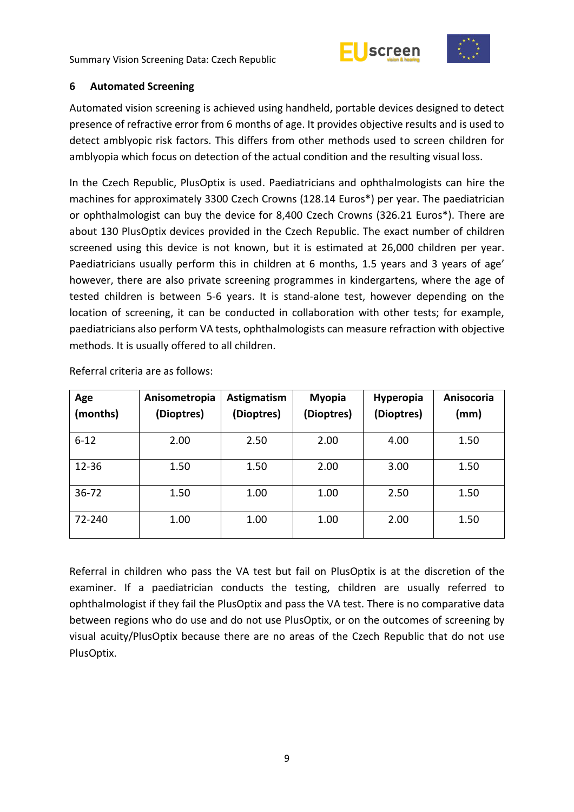



#### <span id="page-14-0"></span>**6 Automated Screening**

Automated vision screening is achieved using handheld, portable devices designed to detect presence of refractive error from 6 months of age. It provides objective results and is used to detect amblyopic risk factors. This differs from other methods used to screen children for amblyopia which focus on detection of the actual condition and the resulting visual loss.

In the Czech Republic, PlusOptix is used. Paediatricians and ophthalmologists can hire the machines for approximately 3300 Czech Crowns (128.14 Euros\*) per year. The paediatrician or ophthalmologist can buy the device for 8,400 Czech Crowns (326.21 Euros\*). There are about 130 PlusOptix devices provided in the Czech Republic. The exact number of children screened using this device is not known, but it is estimated at 26,000 children per year. Paediatricians usually perform this in children at 6 months, 1.5 years and 3 years of age' however, there are also private screening programmes in kindergartens, where the age of tested children is between 5-6 years. It is stand-alone test, however depending on the location of screening, it can be conducted in collaboration with other tests; for example, paediatricians also perform VA tests, ophthalmologists can measure refraction with objective methods. It is usually offered to all children.

| Age<br>(months) | Anisometropia<br>(Dioptres) | Astigmatism<br>(Dioptres) | <b>Myopia</b><br>(Dioptres) | <b>Hyperopia</b><br>(Dioptres) | Anisocoria<br>(mm) |
|-----------------|-----------------------------|---------------------------|-----------------------------|--------------------------------|--------------------|
|                 |                             |                           |                             |                                |                    |
| $6 - 12$        | 2.00                        | 2.50                      | 2.00                        | 4.00                           | 1.50               |
| $12 - 36$       | 1.50                        | 1.50                      | 2.00                        | 3.00                           | 1.50               |
| 36-72           | 1.50                        | 1.00                      | 1.00                        | 2.50                           | 1.50               |
| 72-240          | 1.00                        | 1.00                      | 1.00                        | 2.00                           | 1.50               |

Referral criteria are as follows:

Referral in children who pass the VA test but fail on PlusOptix is at the discretion of the examiner. If a paediatrician conducts the testing, children are usually referred to ophthalmologist if they fail the PlusOptix and pass the VA test. There is no comparative data between regions who do use and do not use PlusOptix, or on the outcomes of screening by visual acuity/PlusOptix because there are no areas of the Czech Republic that do not use PlusOptix.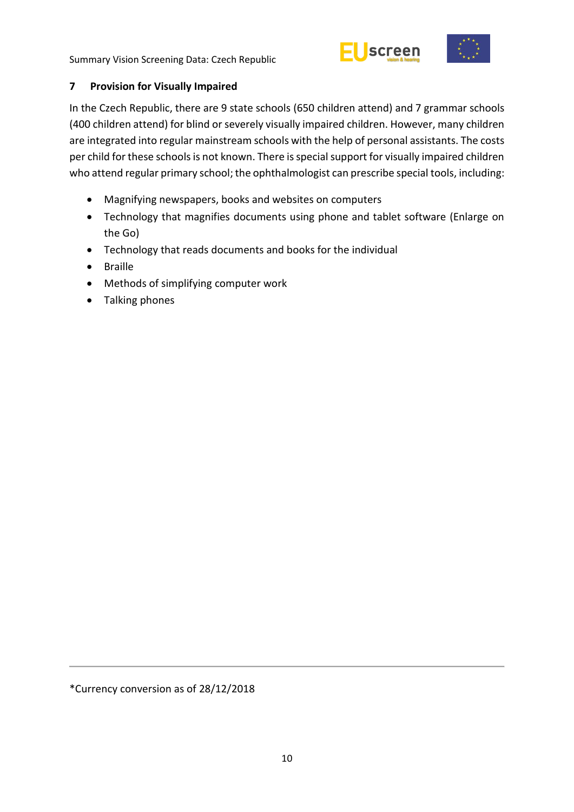



# <span id="page-15-0"></span>**7 Provision for Visually Impaired**

In the Czech Republic, there are 9 state schools (650 children attend) and 7 grammar schools (400 children attend) for blind or severely visually impaired children. However, many children are integrated into regular mainstream schools with the help of personal assistants. The costs per child for these schools is not known. There is special support for visually impaired children who attend regular primary school; the ophthalmologist can prescribe special tools, including:

- Magnifying newspapers, books and websites on computers
- Technology that magnifies documents using phone and tablet software (Enlarge on the Go)
- Technology that reads documents and books for the individual
- Braille
- Methods of simplifying computer work
- Talking phones

\*Currency conversion as of 28/12/2018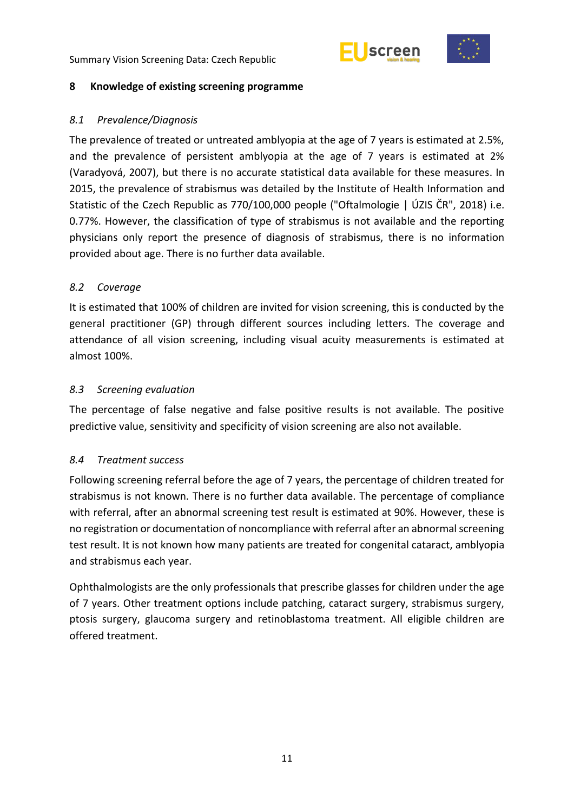



#### <span id="page-16-0"></span>**8 Knowledge of existing screening programme**

## <span id="page-16-1"></span>*8.1 Prevalence/Diagnosis*

The prevalence of treated or untreated amblyopia at the age of 7 years is estimated at 2.5%, and the prevalence of persistent amblyopia at the age of 7 years is estimated at 2% (Varadyová, 2007), but there is no accurate statistical data available for these measures. In 2015, the prevalence of strabismus was detailed by the Institute of Health Information and Statistic of the Czech Republic as 770/100,000 people ("Oftalmologie | ÚZIS ČR", 2018) i.e. 0.77%. However, the classification of type of strabismus is not available and the reporting physicians only report the presence of diagnosis of strabismus, there is no information provided about age. There is no further data available.

## <span id="page-16-2"></span>*8.2 Coverage*

It is estimated that 100% of children are invited for vision screening, this is conducted by the general practitioner (GP) through different sources including letters. The coverage and attendance of all vision screening, including visual acuity measurements is estimated at almost 100%.

#### <span id="page-16-3"></span>*8.3 Screening evaluation*

The percentage of false negative and false positive results is not available. The positive predictive value, sensitivity and specificity of vision screening are also not available.

#### <span id="page-16-4"></span>*8.4 Treatment success*

Following screening referral before the age of 7 years, the percentage of children treated for strabismus is not known. There is no further data available. The percentage of compliance with referral, after an abnormal screening test result is estimated at 90%. However, these is no registration or documentation of noncompliance with referral after an abnormal screening test result. It is not known how many patients are treated for congenital cataract, amblyopia and strabismus each year.

Ophthalmologists are the only professionals that prescribe glasses for children under the age of 7 years. Other treatment options include patching, cataract surgery, strabismus surgery, ptosis surgery, glaucoma surgery and retinoblastoma treatment. All eligible children are offered treatment.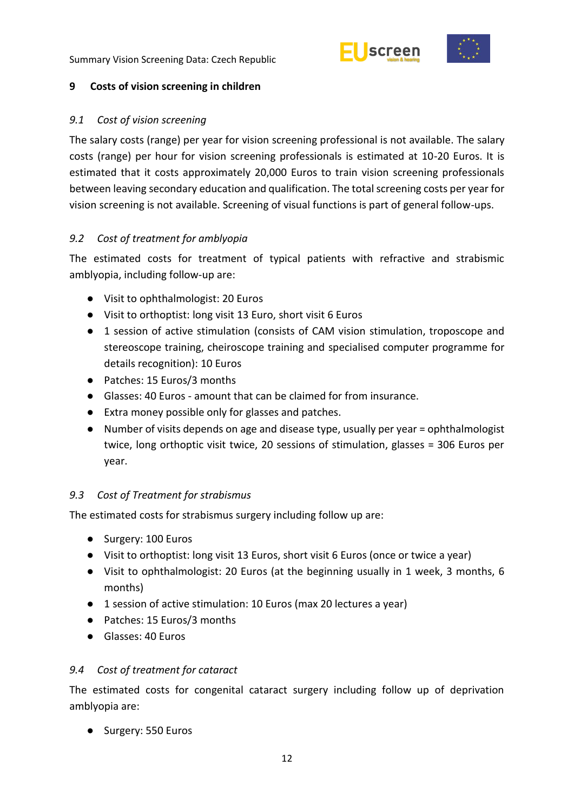



### <span id="page-17-0"></span>**9 Costs of vision screening in children**

## <span id="page-17-1"></span>*9.1 Cost of vision screening*

The salary costs (range) per year for vision screening professional is not available. The salary costs (range) per hour for vision screening professionals is estimated at 10-20 Euros. It is estimated that it costs approximately 20,000 Euros to train vision screening professionals between leaving secondary education and qualification. The total screening costs per year for vision screening is not available. Screening of visual functions is part of general follow-ups.

## <span id="page-17-2"></span>*9.2 Cost of treatment for amblyopia*

The estimated costs for treatment of typical patients with refractive and strabismic amblyopia, including follow-up are:

- Visit to ophthalmologist: 20 Euros
- Visit to orthoptist: long visit 13 Euro, short visit 6 Euros
- 1 session of active stimulation (consists of CAM vision stimulation, troposcope and stereoscope training, cheiroscope training and specialised computer programme for details recognition): 10 Euros
- Patches: 15 Euros/3 months
- Glasses: 40 Euros amount that can be claimed for from insurance.
- Extra money possible only for glasses and patches.
- Number of visits depends on age and disease type, usually per year = ophthalmologist twice, long orthoptic visit twice, 20 sessions of stimulation, glasses = 306 Euros per year.

## <span id="page-17-3"></span>*9.3 Cost of Treatment for strabismus*

The estimated costs for strabismus surgery including follow up are:

- Surgery: 100 Euros
- Visit to orthoptist: long visit 13 Euros, short visit 6 Euros (once or twice a year)
- Visit to ophthalmologist: 20 Euros (at the beginning usually in 1 week, 3 months, 6 months)
- 1 session of active stimulation: 10 Euros (max 20 lectures a year)
- Patches: 15 Euros/3 months
- Glasses: 40 Euros

## <span id="page-17-4"></span>*9.4 Cost of treatment for cataract*

The estimated costs for congenital cataract surgery including follow up of deprivation amblyopia are:

● Surgery: 550 Euros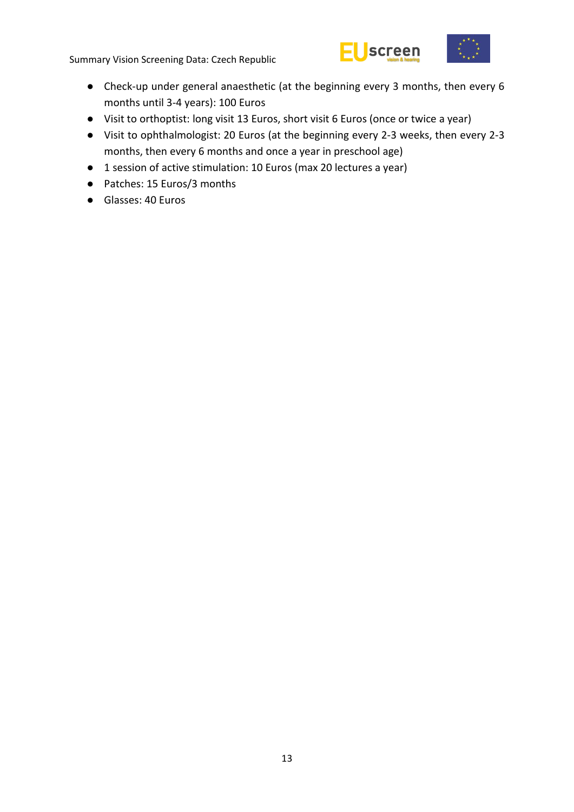



- Check-up under general anaesthetic (at the beginning every 3 months, then every 6 months until 3-4 years): 100 Euros
- Visit to orthoptist: long visit 13 Euros, short visit 6 Euros (once or twice a year)
- Visit to ophthalmologist: 20 Euros (at the beginning every 2-3 weeks, then every 2-3 months, then every 6 months and once a year in preschool age)
- 1 session of active stimulation: 10 Euros (max 20 lectures a year)
- Patches: 15 Euros/3 months
- Glasses: 40 Euros